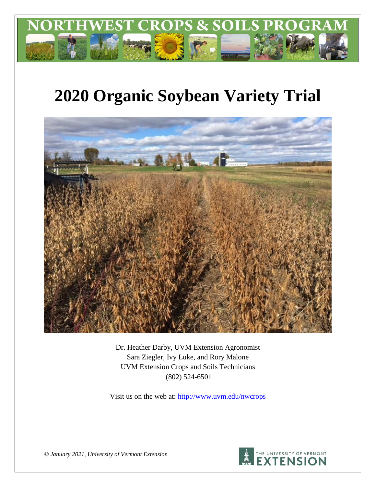

# **2020 Organic Soybean Variety Trial**



Dr. Heather Darby, UVM Extension Agronomist Sara Ziegler, Ivy Luke, and Rory Malone UVM Extension Crops and Soils Technicians (802) 524-6501

Visit us on the web at: <http://www.uvm.edu/nwcrops>



*© January 2021, University of Vermont Extension*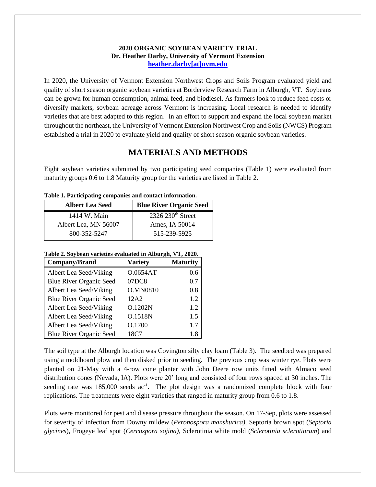### **2020 ORGANIC SOYBEAN VARIETY TRIAL Dr. Heather Darby, University of Vermont Extension [heather.darby\[at\]uvm.edu](mailto:heather.darby@uvm.edu?subject=2012%20Short%20Season%20Corn%20Report)**

In 2020, the University of Vermont Extension Northwest Crops and Soils Program evaluated yield and quality of short season organic soybean varieties at Borderview Research Farm in Alburgh, VT. Soybeans can be grown for human consumption, animal feed, and biodiesel. As farmers look to reduce feed costs or diversify markets, soybean acreage across Vermont is increasing. Local research is needed to identify varieties that are best adapted to this region. In an effort to support and expand the local soybean market throughout the northeast, the University of Vermont Extension Northwest Crop and Soils (NWCS) Program established a trial in 2020 to evaluate yield and quality of short season organic soybean varieties.

## **MATERIALS AND METHODS**

Eight soybean varieties submitted by two participating seed companies (Table 1) were evaluated from maturity groups 0.6 to 1.8 Maturity group for the varieties are listed in Table 2.

| Tuole 11 I al acipathig companies and contact mior mation. |                                |  |  |  |  |  |
|------------------------------------------------------------|--------------------------------|--|--|--|--|--|
| <b>Albert Lea Seed</b>                                     | <b>Blue River Organic Seed</b> |  |  |  |  |  |
| 1414 W. Main                                               | 2326 230 <sup>th</sup> Street  |  |  |  |  |  |
| Albert Lea, MN 56007                                       | Ames, IA 50014                 |  |  |  |  |  |
| 800-352-5247                                               | 515-239-5925                   |  |  |  |  |  |

**Table 1. Participating companies and contact information.**

#### **Table 2. Soybean varieties evaluated in Alburgh, VT, 2020.**

| Company/Brand                  | <b>Variety</b> | <b>Maturity</b> |
|--------------------------------|----------------|-----------------|
| Albert Lea Seed/Viking         | O.0654AT       | 0.6             |
| <b>Blue River Organic Seed</b> | 07DC8          | 0.7             |
| Albert Lea Seed/Viking         | O.MN0810       | 0.8             |
| <b>Blue River Organic Seed</b> | 12A2           | 1.2             |
| Albert Lea Seed/Viking         | O.1202N        | 1.2             |
| Albert Lea Seed/Viking         | O.1518N        | 1.5             |
| Albert Lea Seed/Viking         | O.1700         | 1.7             |
| <b>Blue River Organic Seed</b> | 18C7           | 1.8             |

The soil type at the Alburgh location was Covington silty clay loam (Table 3). The seedbed was prepared using a moldboard plow and then disked prior to seeding. The previous crop was winter rye. Plots were planted on 21-May with a 4-row cone planter with John Deere row units fitted with Almaco seed distribution cones (Nevada, IA). Plots were 20' long and consisted of four rows spaced at 30 inches. The seeding rate was 185,000 seeds ac<sup>-1</sup>. The plot design was a randomized complete block with four replications. The treatments were eight varieties that ranged in maturity group from 0.6 to 1.8.

Plots were monitored for pest and disease pressure throughout the season. On 17-Sep, plots were assessed for severity of infection from Downy mildew (*Peronospora manshurica),* Septoria brown spot (*Septoria glycines*), Frogeye leaf spot (*Cercospora sojina)*, Sclerotinia white mold (*Sclerotinia sclerotiorum*) and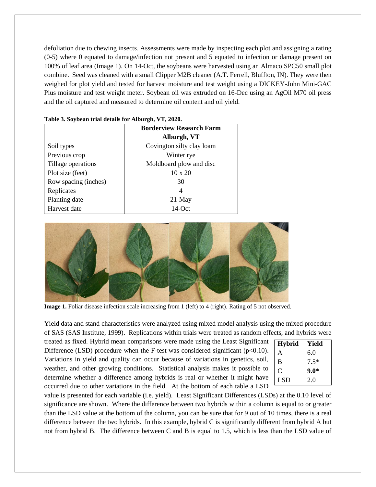defoliation due to chewing insects. Assessments were made by inspecting each plot and assigning a rating (0-5) where 0 equated to damage/infection not present and 5 equated to infection or damage present on 100% of leaf area (Image 1). On 14-Oct, the soybeans were harvested using an Almaco SPC50 small plot combine. Seed was cleaned with a small Clipper M2B cleaner (A.T. Ferrell, Bluffton, IN). They were then weighed for plot yield and tested for harvest moisture and test weight using a DICKEY-John Mini-GAC Plus moisture and test weight meter. Soybean oil was extruded on 16-Dec using an AgOil M70 oil press and the oil captured and measured to determine oil content and oil yield.

|                      | <b>Borderview Research Farm</b> |
|----------------------|---------------------------------|
|                      | Alburgh, VT                     |
| Soil types           | Covington silty clay loam       |
| Previous crop        | Winter rye                      |
| Tillage operations   | Moldboard plow and disc         |
| Plot size (feet)     | $10 \times 20$                  |
| Row spacing (inches) | 30                              |
| Replicates           | 4                               |
| Planting date        | $21$ -May                       |
| Harvest date         | $14$ -Oct                       |

|  |  |  | Table 3. Soybean trial details for Alburgh, VT, 2020. |  |
|--|--|--|-------------------------------------------------------|--|
|  |  |  |                                                       |  |



**Image 1.** Foliar disease infection scale increasing from 1 (left) to 4 (right). Rating of 5 not observed.

Yield data and stand characteristics were analyzed using mixed model analysis using the mixed procedure of SAS (SAS Institute, 1999). Replications within trials were treated as random effects, and hybrids were

treated as fixed. Hybrid mean comparisons were made using the Least Significant Difference (LSD) procedure when the F-test was considered significant ( $p<0.10$ ). Variations in yield and quality can occur because of variations in genetics, soil, weather, and other growing conditions. Statistical analysis makes it possible to determine whether a difference among hybrids is real or whether it might have occurred due to other variations in the field. At the bottom of each table a LSD

| <b>Hybrid</b> | Yield  |
|---------------|--------|
| A             | 6.0    |
| B             | $7.5*$ |
| C             | $9.0*$ |
| <b>LSD</b>    | 20     |

value is presented for each variable (i.e. yield). Least Significant Differences (LSDs) at the 0.10 level of significance are shown. Where the difference between two hybrids within a column is equal to or greater than the LSD value at the bottom of the column, you can be sure that for 9 out of 10 times, there is a real difference between the two hybrids. In this example, hybrid C is significantly different from hybrid A but not from hybrid B. The difference between C and B is equal to 1.5, which is less than the LSD value of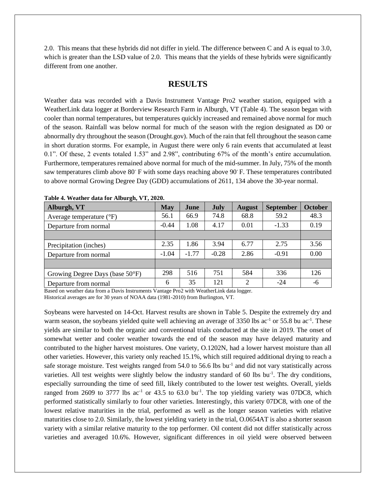2.0. This means that these hybrids did not differ in yield. The difference between C and A is equal to 3.0, which is greater than the LSD value of 2.0. This means that the yields of these hybrids were significantly different from one another.

## **RESULTS**

Weather data was recorded with a Davis Instrument Vantage Pro2 weather station, equipped with a WeatherLink data logger at Borderview Research Farm in Alburgh, VT (Table 4). The season began with cooler than normal temperatures, but temperatures quickly increased and remained above normal for much of the season. Rainfall was below normal for much of the season with the region designated as D0 or abnormally dry throughout the season (Drought.gov). Much of the rain that fell throughout the season came in short duration storms. For example, in August there were only 6 rain events that accumulated at least 0.1". Of these, 2 events totaled 1.53" and 2.98", contributing 67% of the month's entire accumulation. Furthermore, temperatures remained above normal for much of the mid-summer. In July, 75% of the month saw temperatures climb above 80° F with some days reaching above 90° F. These temperatures contributed to above normal Growing Degree Day (GDD) accumulations of 2611, 134 above the 30-year normal.

| $\bullet$ , , ,<br>Alburgh, VT            | <b>May</b> | June    | <b>July</b> | <b>August</b> | <b>September</b> | October |
|-------------------------------------------|------------|---------|-------------|---------------|------------------|---------|
| Average temperature $({}^{\circ}F)$       | 56.1       | 66.9    | 74.8        | 68.8          | 59.2             | 48.3    |
| Departure from normal                     | $-0.44$    | 1.08    | 4.17        | 0.01          | $-1.33$          | 0.19    |
|                                           |            |         |             |               |                  |         |
| Precipitation (inches)                    | 2.35       | 1.86    | 3.94        | 6.77          | 2.75             | 3.56    |
| Departure from normal                     | $-1.04$    | $-1.77$ | $-0.28$     | 2.86          | $-0.91$          | 0.00    |
|                                           |            |         |             |               |                  |         |
| Growing Degree Days (base $50^{\circ}$ F) | 298        | 516     | 751         | 584           | 336              | 126     |
| Departure from normal                     | 6          | 35      | 121         | $\mathcal{D}$ | $-24$            | -6      |

**Table 4. Weather data for Alburgh, VT, 2020.**

Based on weather data from a Davis Instruments Vantage Pro2 with WeatherLink data logger. Historical averages are for 30 years of NOAA data (1981-2010) from Burlington, VT.

Soybeans were harvested on 14-Oct. Harvest results are shown in Table 5. Despite the extremely dry and warm season, the soybeans yielded quite well achieving an average of  $3350$  lbs ac<sup>-1</sup> or  $55.8$  bu ac<sup>-1</sup>. These yields are similar to both the organic and conventional trials conducted at the site in 2019. The onset of somewhat wetter and cooler weather towards the end of the season may have delayed maturity and contributed to the higher harvest moistures. One variety, O.1202N, had a lower harvest moisture than all other varieties. However, this variety only reached 15.1%, which still required additional drying to reach a safe storage moisture. Test weights ranged from 54.0 to 56.6 lbs bu<sup>-1</sup> and did not vary statistically across varieties. All test weights were slightly below the industry standard of 60 lbs bu<sup>-1</sup>. The dry conditions, especially surrounding the time of seed fill, likely contributed to the lower test weights. Overall, yields ranged from 2609 to 3777 lbs  $ac^{-1}$  or 43.5 to 63.0 bu<sup>-1</sup>. The top yielding variety was 07DC8, which performed statistically similarly to four other varieties. Interestingly, this variety 07DC8, with one of the lowest relative maturities in the trial, performed as well as the longer season varieties with relative maturities close to 2.0. Similarly, the lowest yielding variety in the trial, O.0654AT is also a shorter season variety with a similar relative maturity to the top performer. Oil content did not differ statistically across varieties and averaged 10.6%. However, significant differences in oil yield were observed between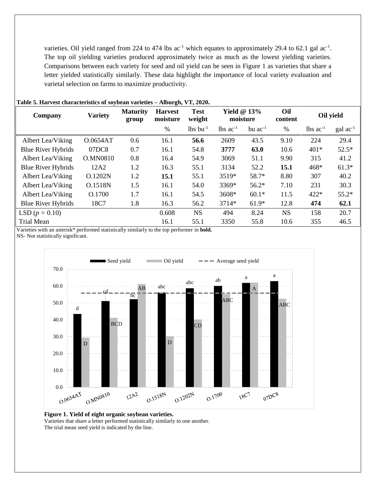varieties. Oil yield ranged from 224 to 474 lbs  $ac^{-1}$  which equates to approximately 29.4 to 62.1 gal  $ac^{-1}$ . The top oil yielding varieties produced approximately twice as much as the lowest yielding varieties. Comparisons between each variety for seed and oil yield can be seen in Figure 1 as varieties that share a letter yielded statistically similarly. These data highlight the importance of local variety evaluation and varietal selection on farms to maximize productivity.

| Company                       | <b>Variety</b>  | <b>Maturity</b><br>group | <b>Harvest</b><br>moisture | <b>Test</b><br>weight  | Yield $@13\%$<br>moisture |              | Oil<br>content | Oil yield              |                      |
|-------------------------------|-----------------|--------------------------|----------------------------|------------------------|---------------------------|--------------|----------------|------------------------|----------------------|
|                               |                 |                          | $\%$                       | $lbs$ bu <sup>-1</sup> | $lbs$ ac <sup>-1</sup>    | bu $ac^{-1}$ | $\%$           | $lbs$ ac <sup>-1</sup> | $\text{gal ac}^{-1}$ |
| Albert Lea/Viking             | O.0654AT        | 0.6                      | 16.1                       | 56.6                   | 2609                      | 43.5         | 9.10           | 224                    | 29.4                 |
| <b>Blue River Hybrids</b>     | 07DC8           | 0.7                      | 16.1                       | 54.8                   | 3777                      | 63.0         | 10.6           | 401*                   | $52.5*$              |
| Albert Lea/Viking             | <b>O.MN0810</b> | 0.8                      | 16.4                       | 54.9                   | 3069                      | 51.1         | 9.90           | 315                    | 41.2                 |
| <b>Blue River Hybrids</b>     | 12A2            | 1.2                      | 16.3                       | 55.1                   | 3134                      | 52.2         | 15.1           | 468*                   | $61.3*$              |
| Albert Lea/Viking             | O.1202N         | 1.2                      | 15.1                       | 55.1                   | 3519*                     | 58.7*        | 8.80           | 307                    | 40.2                 |
| Albert Lea/Viking             | O.1518N         | 1.5                      | 16.1                       | 54.0                   | 3369*                     | $56.2*$      | 7.10           | 231                    | 30.3                 |
| Albert Lea/Viking             | O.1700          | 1.7                      | 16.1                       | 54.5                   | 3608*                     | $60.1*$      | 11.5           | 422*                   | $55.2*$              |
| <b>Blue River Hybrids</b>     | 18C7            | 1.8                      | 16.3                       | 56.2                   | 3714*                     | $61.9*$      | 12.8           | 474                    | 62.1                 |
| LSD ( $p = 0.10$ )            |                 |                          | 0.608                      | <b>NS</b>              | 494                       | 8.24         | <b>NS</b>      | 158                    | 20.7                 |
| <b>Trial Mean</b><br>$\cdots$ | $\cdots$        |                          | 16.1                       | 55.1                   | 3350                      | 55.8         | 10.6           | 355                    | 46.5                 |

#### **Table 5. Harvest characteristics of soybean varieties – Alburgh, VT, 2020.**

Varieties with an asterisk\* performed statistically similarly to the top performer in **bold.** NS- Not statistically significant.



**Figure 1. Yield of eight organic soybean varieties.**

Varieties that share a letter performed statistically similarly to one another.

The trial mean seed yield is indicated by the line.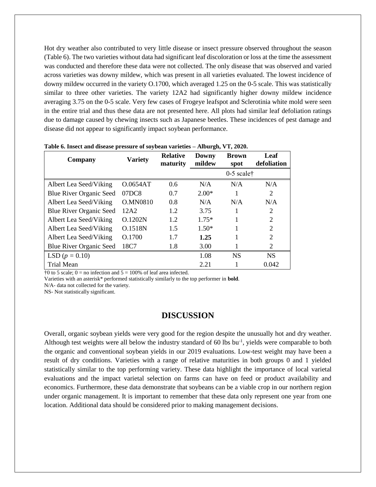Hot dry weather also contributed to very little disease or insect pressure observed throughout the season (Table 6). The two varieties without data had significant leaf discoloration or loss at the time the assessment was conducted and therefore these data were not collected. The only disease that was observed and varied across varieties was downy mildew, which was present in all varieties evaluated. The lowest incidence of downy mildew occurred in the variety O.1700, which averaged 1.25 on the 0-5 scale. This was statistically similar to three other varieties. The variety 12A2 had significantly higher downy mildew incidence averaging 3.75 on the 0-5 scale. Very few cases of Frogeye leafspot and Sclerotinia white mold were seen in the entire trial and thus these data are not presented here. All plots had similar leaf defoliation ratings due to damage caused by chewing insects such as Japanese beetles. These incidences of pest damage and disease did not appear to significantly impact soybean performance.

| Company                        | <b>Variety</b>  | <b>Relative</b><br>maturity | Downy<br>mildew | <b>Brown</b><br>spot     | Leaf<br>defoliation |
|--------------------------------|-----------------|-----------------------------|-----------------|--------------------------|---------------------|
|                                |                 |                             |                 | $0-5$ scale <sup>†</sup> |                     |
| Albert Lea Seed/Viking         | O.0654AT        | 0.6                         | N/A             | N/A                      | N/A                 |
| <b>Blue River Organic Seed</b> | 07DC8           | 0.7                         | $2.00*$         |                          | $\overline{2}$      |
| Albert Lea Seed/Viking         | <b>O.MN0810</b> | 0.8                         | N/A             | N/A                      | N/A                 |
| Blue River Organic Seed        | 12A2            | 1.2                         | 3.75            | 1                        | 2                   |
| Albert Lea Seed/Viking         | O.1202N         | 1.2                         | $1.75*$         |                          | 2                   |
| Albert Lea Seed/Viking         | O.1518N         | 1.5                         | $1.50*$         | 1                        | $\overline{2}$      |
| Albert Lea Seed/Viking         | O.1700          | 1.7                         | 1.25            |                          | $\overline{2}$      |
| Blue River Organic Seed        | 18C7            | 1.8                         | 3.00            |                          | 2                   |
| LSD $(p = 0.10)$               |                 |                             | 1.08            | <b>NS</b>                | <b>NS</b>           |
| <b>Trial Mean</b>              |                 |                             | 2.21            |                          | 0.042               |

**Table 6. Insect and disease pressure of soybean varieties – Alburgh, VT, 2020.**

 $\uparrow$ 0 to 5 scale; 0 = no infection and 5 = 100% of leaf area infected.

Varieties with an asterisk\* performed statistically similarly to the top performer in **bold**.

N/A- data not collected for the variety.

NS- Not statistically significant.

## **DISCUSSION**

Overall, organic soybean yields were very good for the region despite the unusually hot and dry weather. Although test weights were all below the industry standard of 60 lbs bu<sup>-1</sup>, yields were comparable to both the organic and conventional soybean yields in our 2019 evaluations. Low-test weight may have been a result of dry conditions. Varieties with a range of relative maturities in both groups 0 and 1 yielded statistically similar to the top performing variety. These data highlight the importance of local varietal evaluations and the impact varietal selection on farms can have on feed or product availability and economics. Furthermore, these data demonstrate that soybeans can be a viable crop in our northern region under organic management. It is important to remember that these data only represent one year from one location. Additional data should be considered prior to making management decisions.